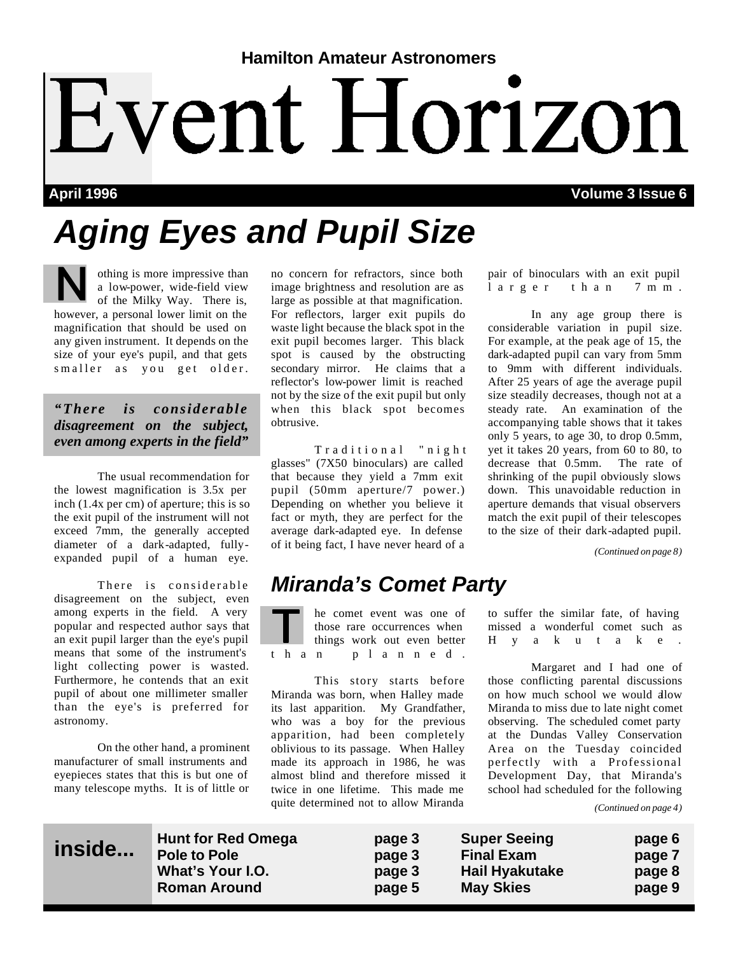# **Hamilton Amateur Astronomers** Event Horizon

**April 1996 Volume 3 Issue 6**

# *Aging Eyes and Pupil Size*

othing is more impressive than a low-power, wide-field view of the Milky Way. There is, however, a personal lower limit on the magnification that should be used on any given instrument. It depends on the size of your eye's pupil, and that gets smaller as you get older.

*"There is considerable disagreement on the subject, even among experts in the field"*

 The usual recommendation for the lowest magnification is 3.5x per inch (1.4x per cm) of aperture; this is so the exit pupil of the instrument will not exceed 7mm, the generally accepted diameter of a dark-adapted, fullyexpanded pupil of a human eye.

 There is considerable disagreement on the subject, even among experts in the field. A very popular and respected author says that an exit pupil larger than the eye's pupil means that some of the instrument's light collecting power is wasted. Furthermore, he contends that an exit pupil of about one millimeter smaller than the eye's is preferred for astronomy.

 On the other hand, a prominent manufacturer of small instruments and eyepieces states that this is but one of many telescope myths. It is of little or no concern for refractors, since both image brightness and resolution are as large as possible at that magnification. For reflectors, larger exit pupils do waste light because the black spot in the exit pupil becomes larger. This black spot is caused by the obstructing secondary mirror. He claims that a reflector's low-power limit is reached not by the size of the exit pupil but only when this black spot becomes obtrusive.

 Traditional "nigh t glasses" (7X50 binoculars) are called that because they yield a 7mm exit pupil (50mm aperture/7 power.) Depending on whether you believe it fact or myth, they are perfect for the average dark-adapted eye. In defense of it being fact, I have never heard of a

### *Miranda's Comet Party*

he comet event was one of those rare occurrences when things work out even better than planned.

 This story starts before Miranda was born, when Halley made its last apparition. My Grandfather, who was a boy for the previous apparition, had been completely oblivious to its passage. When Halley made its approach in 1986, he was almost blind and therefore missed it twice in one lifetime. This made me quite determined not to allow Miranda

pair of binoculars with an exit pupil larger than 7mm .

 In any age group there is considerable variation in pupil size. For example, at the peak age of 15, the dark-adapted pupil can vary from 5mm to 9mm with different individuals. After 25 years of age the average pupil size steadily decreases, though not at a steady rate. An examination of the accompanying table shows that it takes only 5 years, to age 30, to drop 0.5mm, yet it takes 20 years, from 60 to 80, to decrease that 0.5mm. The rate of shrinking of the pupil obviously slows down. This unavoidable reduction in aperture demands that visual observers match the exit pupil of their telescopes to the size of their dark-adapted pupil.

*(Continued on page 8)*

to suffer the similar fate, of having missed a wonderful comet such as Hyakutake.

 Margaret and I had one of those conflicting parental discussions on how much school we would allow Miranda to miss due to late night comet observing. The scheduled comet party at the Dundas Valley Conservation Area on the Tuesday coincided perfectly with a Professional Development Day, that Miranda's school had scheduled for the following

*(Continued on page 4)*

**Hunt for Red Omega page 3 Super Seeing page 6** Pole to Pole **page 3** Final Exam **page 7**<br>
What's Your I.O. **Problemage 2** Pail Hyakutake Propage 8 page 3 Hail Hyakutake page 8 **Roman Around page 5 May Skies page 9**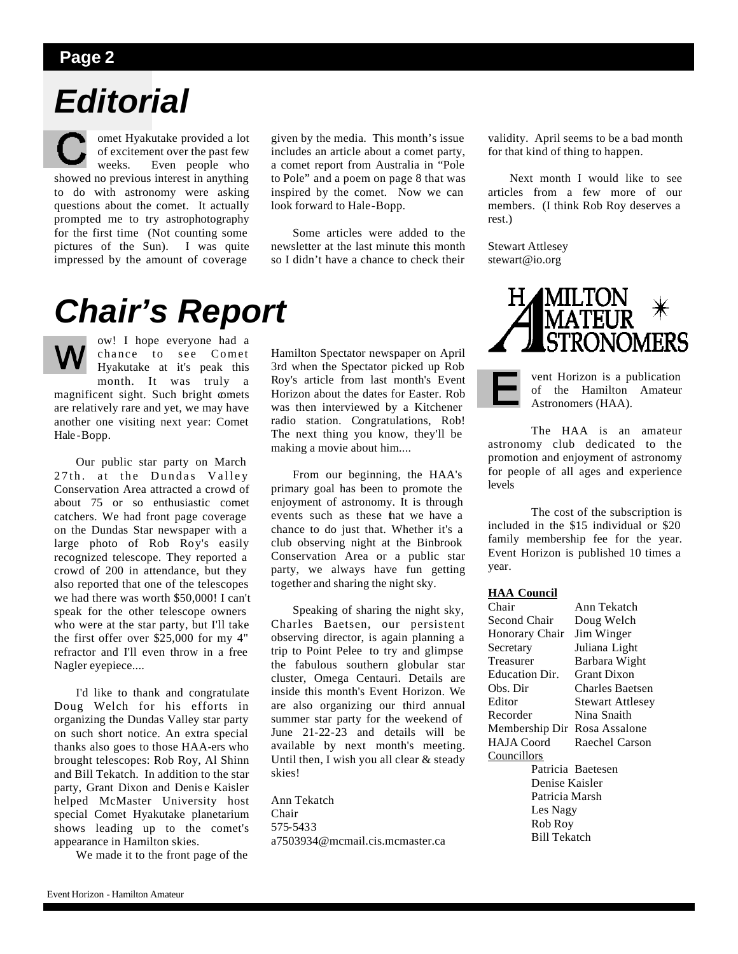### *Editorial*

omet Hyakutake provided a lot of excitement over the past few weeks. Even people who showed no previous interest in anything to do with astronomy were asking questions about the comet. It actually prompted me to try astrophotography for the first time (Not counting some pictures of the Sun). I was quite impressed by the amount of coverage

#### given by the media. This month's issue includes an article about a comet party, a comet report from Australia in "Pole to Pole" and a poem on page 8 that was inspired by the comet. Now we can look forward to Hale-Bopp.

 Some articles were added to the newsletter at the last minute this month so I didn't have a chance to check their

### *Chair's Report*

ow! I hope everyone had a chance to see Comet Hyakutake at it's peak this month. It was truly a magnificent sight. Such bright comets are relatively rare and yet, we may have another one visiting next year: Comet Hale -Bopp.

 Our public star party on March 27th. at the Dundas Valley Conservation Area attracted a crowd of about 75 or so enthusiastic comet catchers. We had front page coverage on the Dundas Star newspaper with a large photo of Rob Roy's easily recognized telescope. They reported a crowd of 200 in attendance, but they also reported that one of the telescopes we had there was worth \$50,000! I can't speak for the other telescope owners who were at the star party, but I'll take the first offer over \$25,000 for my 4" refractor and I'll even throw in a free Nagler eyepiece....

 I'd like to thank and congratulate Doug Welch for his efforts in organizing the Dundas Valley star party on such short notice. An extra special thanks also goes to those HAA-ers who brought telescopes: Rob Roy, Al Shinn and Bill Tekatch. In addition to the star party, Grant Dixon and Denis e Kaisler helped McMaster University host special Comet Hyakutake planetarium shows leading up to the comet's appearance in Hamilton skies.

We made it to the front page of the

Hamilton Spectator newspaper on April 3rd when the Spectator picked up Rob Roy's article from last month's Event Horizon about the dates for Easter. Rob was then interviewed by a Kitchener radio station. Congratulations, Rob! The next thing you know, they'll be making a movie about him....

 From our beginning, the HAA's primary goal has been to promote the enjoyment of astronomy. It is through events such as these that we have a chance to do just that. Whether it's a club observing night at the Binbrook Conservation Area or a public star party, we always have fun getting together and sharing the night sky.

 Speaking of sharing the night sky, Charles Baetsen, our persistent observing director, is again planning a trip to Point Pelee to try and glimpse the fabulous southern globular star cluster, Omega Centauri. Details are inside this month's Event Horizon. We are also organizing our third annual summer star party for the weekend of June 21-22-23 and details will be available by next month's meeting. Until then, I wish you all clear & steady skies!

Ann Tekatch Chair 575-5433 a7503934@mcmail.cis.mcmaster.ca

validity. April seems to be a bad month for that kind of thing to happen.

 Next month I would like to see articles from a few more of our members. (I think Rob Roy deserves a rest.)

Stewart Attlesey stewart@io.org



vent Horizon is a publication of the Hamilton Amateur Astronomers (HAA).

 The HAA is an amateur astronomy club dedicated to the promotion and enjoyment of astronomy for people of all ages and experience levels

 The cost of the subscription is included in the \$15 individual or \$20 family membership fee for the year. Event Horizon is published 10 times a year.

#### **HAA Council**

| Chair               | Ann Tekatch             |  |
|---------------------|-------------------------|--|
| Second Chair        | Doug Welch              |  |
| Honorary Chair      | Jim Winger              |  |
| Secretary           | Juliana Light           |  |
| Treasurer           | Barbara Wight           |  |
| Education Dir.      | <b>Grant Dixon</b>      |  |
| Obs. Dir            | Charles Baetsen         |  |
| Editor              | <b>Stewart Attlesey</b> |  |
| Recorder            | Nina Snaith             |  |
| Membership Dir      | Rosa Assalone           |  |
| <b>HAJA</b> Coord   | Raechel Carson          |  |
| <b>Councillors</b>  |                         |  |
|                     | Patricia Baetesen       |  |
| Denise Kaisler      |                         |  |
| Patricia Marsh      |                         |  |
| Les Nagy            |                         |  |
| Rob Roy             |                         |  |
| <b>Bill Tekatch</b> |                         |  |
|                     |                         |  |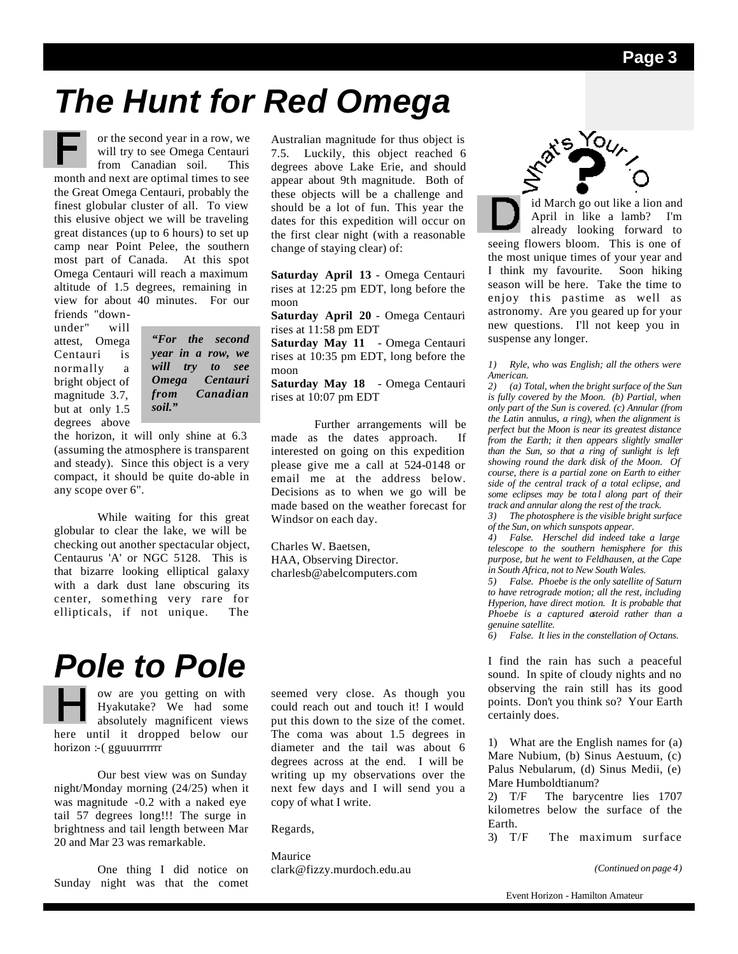### *The Hunt for Red Omega*



or the second year in a row, we will try to see Omega Centauri

from Canadian soil. This month and next are optimal times to see the Great Omega Centauri, probably the finest globular cluster of all. To view this elusive object we will be traveling great distances (up to 6 hours) to set up camp near Point Pelee, the southern most part of Canada. At this spot Omega Centauri will reach a maximum altitude of 1.5 degrees, remaining in view for about 40 minutes. For our

friends "downunder" will attest, Omega Centauri is normally a bright object of magnitude 3.7, but at only 1.5 degrees above

*"For the second year in a row, we will try to see Omega Centauri from Canadian soil."*

the horizon, it will only shine at 6.3 (assuming the atmosphere is transparent and steady). Since this object is a very compact, it should be quite do-able in any scope over 6".

 While waiting for this great globular to clear the lake, we will be checking out another spectacular object, Centaurus 'A' or NGC 5128. This is that bizarre looking elliptical galaxy with a dark dust lane obscuring its center, something very rare for ellipticals, if not unique. The

### *Pole to Pole*

ow are you getting on with Hyakutake? We had some absolutely magnificent views here until it dropped below our horizon :-( gguuurrrrrr

 Our best view was on Sunday night/Monday morning (24/25) when it was magnitude -0.2 with a naked eye tail 57 degrees long!!! The surge in brightness and tail length between Mar 20 and Mar 23 was remarkable.

 One thing I did notice on Sunday night was that the comet Australian magnitude for thus object is 7.5. Luckily, this object reached 6 degrees above Lake Erie, and should appear about 9th magnitude. Both of these objects will be a challenge and should be a lot of fun. This year the dates for this expedition will occur on the first clear night (with a reasonable change of staying clear) of:

**Saturday April 13** - Omega Centauri rises at 12:25 pm EDT, long before the moon

**Saturday April 20** - Omega Centauri rises at 11:58 pm EDT

**Saturday May 11** - Omega Centauri rises at 10:35 pm EDT, long before the moon

**Saturday May 18** - Omega Centauri rises at 10:07 pm EDT

 Further arrangements will be made as the dates approach. If interested on going on this expedition please give me a call at 524-0148 or email me at the address below. Decisions as to when we go will be made based on the weather forecast for Windsor on each day.

Charles W. Baetsen, HAA, Observing Director. charlesb@abelcomputers.com

seemed very close. As though you could reach out and touch it! I would put this down to the size of the comet. The coma was about 1.5 degrees in diameter and the tail was about 6 degrees across at the end. I will be writing up my observations over the next few days and I will send you a copy of what I write.

Regards,

Maurice clark@fizzy.murdoch.edu.au



id March go out like a lion and April in like a lamb? I'm already looking forward to seeing flowers bloom. This is one of the most unique times of your year and I think my favourite. Soon hiking season will be here. Take the time to enjoy this pastime as well as astronomy. Are you geared up for your new questions. I'll not keep you in suspense any longer.

*1) Ryle, who was English; all the others were American.*

*2) (a) Total, when the bright surface of the Sun is fully covered by the Moon. (b) Partial, when only part of the Sun is covered. (c) Annular (from the Latin* annulus*, a ring), when the alignment is perfect but the Moon is near its greatest distance from the Earth; it then appears slightly smaller than the Sun, so that a ring of sunlight is left showing round the dark disk of the Moon. Of course, there is a partial zone on Earth to either side of the central track of a total eclipse, and some eclipses may be tota l along part of their track and annular along the rest of the track.*

*3) The photosphere is the visible bright surface of the Sun, on which sunspots appear.*

*4) False. Herschel did indeed take a large telescope to the southern hemisphere for this purpose, but he went to Feldhausen, at the Cape in South Africa, not to New South Wales.*

*5) False. Phoebe is the only satellite of Saturn to have retrograde motion; all the rest, including Hyperion, have direct motion. It is probable that Phoebe is a captured asteroid rather than a genuine satellite.*

*6) False. It lies in the constellation of Octans.*

I find the rain has such a peaceful sound. In spite of cloudy nights and no observing the rain still has its good points. Don't you think so? Your Earth certainly does.

1) What are the English names for (a) Mare Nubium, (b) Sinus Aestuum, (c) Palus Nebularum, (d) Sinus Medii, (e) Mare Humboldtianum?

2) T/F The barycentre lies 1707 kilometres below the surface of the Earth.

3) T/F The maximum surface

*(Continued on page 4)*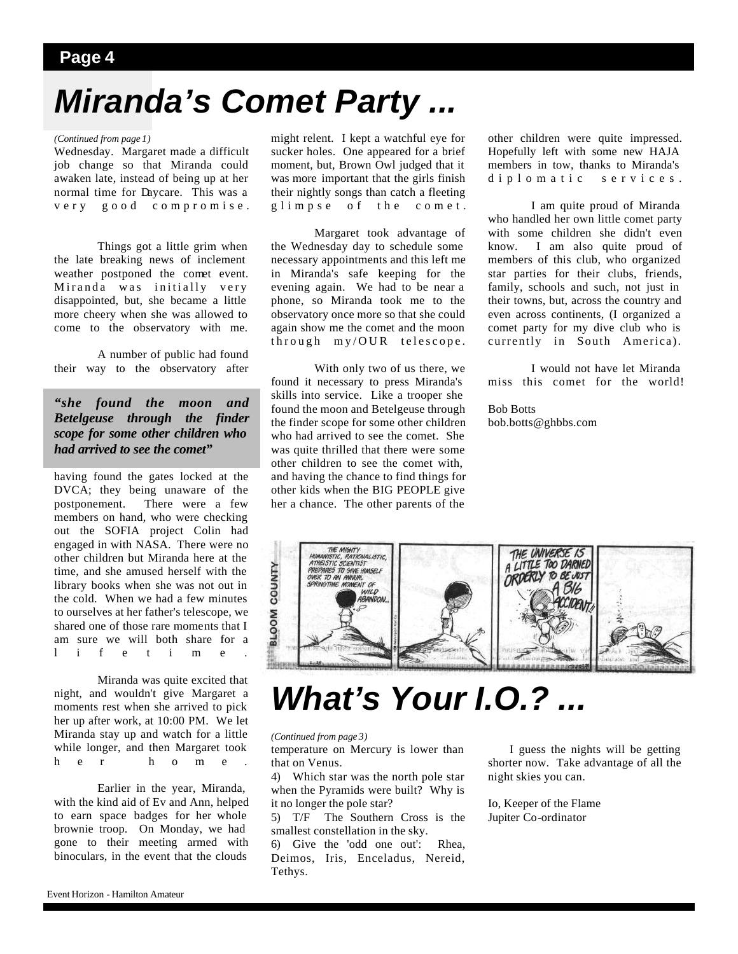# *Miranda's Comet Party ...*

#### *(Continued from page 1)*

Wednesday. Margaret made a difficult job change so that Miranda could awaken late, instead of being up at her normal time for Daycare. This was a very good compromise.

 Things got a little grim when the late breaking news of inclement weather postponed the comet event. Miranda was initially very disappointed, but, she became a little more cheery when she was allowed to come to the observatory with me.

 A number of public had found their way to the observatory after

#### *"she found the moon and Betelgeuse through the finder scope for some other children who had arrived to see the comet"*

having found the gates locked at the DVCA; they being unaware of the postponement. There were a few members on hand, who were checking out the SOFIA project Colin had engaged in with NASA. There were no other children but Miranda here at the time, and she amused herself with the library books when she was not out in the cold. When we had a few minutes to ourselves at her father's telescope, we shared one of those rare moments that I am sure we will both share for a lifetime.

 Miranda was quite excited that night, and wouldn't give Margaret a moments rest when she arrived to pick her up after work, at 10:00 PM. We let Miranda stay up and watch for a little while longer, and then Margaret took her home.

 Earlier in the year, Miranda, with the kind aid of Ev and Ann, helped to earn space badges for her whole brownie troop. On Monday, we had gone to their meeting armed with binoculars, in the event that the clouds

might relent. I kept a watchful eye for sucker holes. One appeared for a brief moment, but, Brown Owl judged that it was more important that the girls finish their nightly songs than catch a fleeting glimpse of the comet.

 Margaret took advantage of the Wednesday day to schedule some necessary appointments and this left me in Miranda's safe keeping for the evening again. We had to be near a phone, so Miranda took me to the observatory once more so that she could again show me the comet and the moon through my/OUR telescope.

 With only two of us there, we found it necessary to press Miranda's skills into service. Like a trooper she found the moon and Betelgeuse through the finder scope for some other children who had arrived to see the comet. She was quite thrilled that there were some other children to see the comet with, and having the chance to find things for other kids when the BIG PEOPLE give her a chance. The other parents of the

other children were quite impressed. Hopefully left with some new HAJA members in tow, thanks to Miranda's diplomatic services.

 I am quite proud of Miranda who handled her own little comet party with some children she didn't even know. I am also quite proud of members of this club, who organized star parties for their clubs, friends, family, schools and such, not just in their towns, but, across the country and even across continents, (I organized a comet party for my dive club who is currently in South America).

 I would not have let Miranda miss this comet for the world!

Bob Botts bob.botts@ghbbs.com



### *What's Your I.O.? ...*

*(Continued from page 3)*

temperature on Mercury is lower than that on Venus.

4) Which star was the north pole star when the Pyramids were built? Why is it no longer the pole star?

5) T/F The Southern Cross is the smallest constellation in the sky.

6) Give the 'odd one out': Rhea, Deimos, Iris, Enceladus, Nereid, Tethys.

 I guess the nights will be getting shorter now. Take advantage of all the night skies you can.

Io, Keeper of the Flame Jupiter Co-ordinator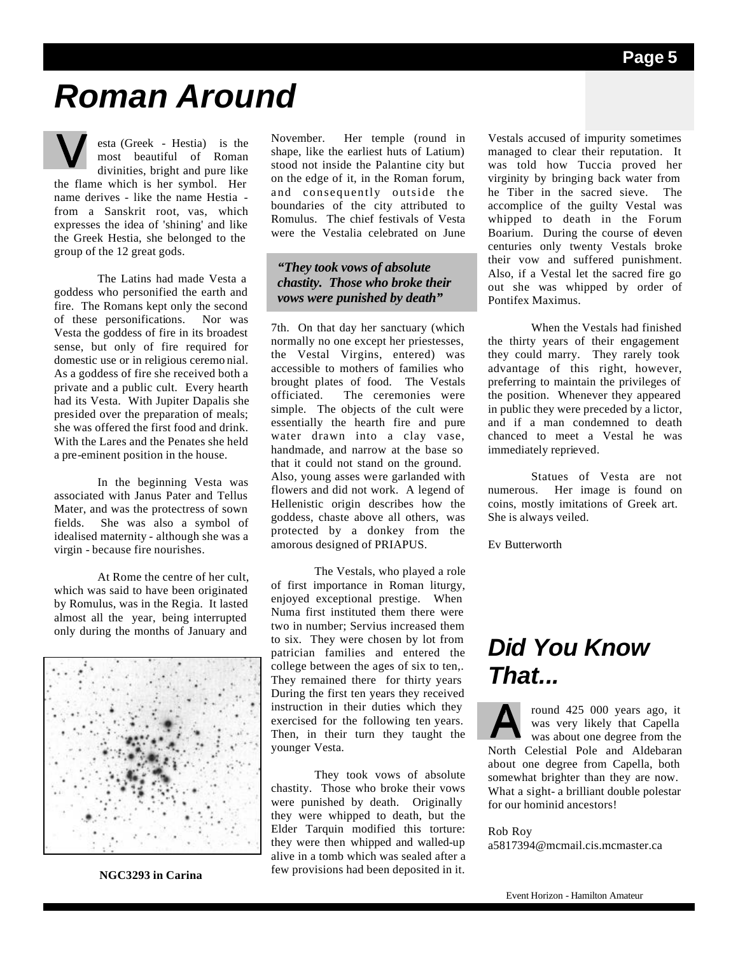### *Roman Around*

esta (Greek - Hestia) is the most beautiful of Roman divinities, bright and pure like the flame which is her symbol. Her name derives - like the name Hestia from a Sanskrit root, vas, which expresses the idea of 'shining' and like the Greek Hestia, she belonged to the group of the 12 great gods.

 The Latins had made Vesta a goddess who personified the earth and fire. The Romans kept only the second of these personifications. Nor was Vesta the goddess of fire in its broadest sense, but only of fire required for domestic use or in religious ceremo nial. As a goddess of fire she received both a private and a public cult. Every hearth had its Vesta. With Jupiter Dapalis she presided over the preparation of meals; she was offered the first food and drink. With the Lares and the Penates she held a pre-eminent position in the house.

 In the beginning Vesta was associated with Janus Pater and Tellus Mater, and was the protectress of sown fields. She was also a symbol of idealised maternity - although she was a virgin - because fire nourishes.

 At Rome the centre of her cult, which was said to have been originated by Romulus, was in the Regia. It lasted almost all the year, being interrupted only during the months of January and



**NGC3293 in Carina**

November. Her temple (round in shape, like the earliest huts of Latium) stood not inside the Palantine city but on the edge of it, in the Roman forum, and consequently outside the boundaries of the city attributed to Romulus. The chief festivals of Vesta were the Vestalia celebrated on June

#### *"They took vows of absolute chastity. Those who broke their vows were punished by death"*

7th. On that day her sanctuary (which normally no one except her priestesses, the Vestal Virgins, entered) was accessible to mothers of families who brought plates of food. The Vestals officiated. The ceremonies were simple. The objects of the cult were essentially the hearth fire and pure water drawn into a clay vase, handmade, and narrow at the base so that it could not stand on the ground. Also, young asses were garlanded with flowers and did not work. A legend of Hellenistic origin describes how the goddess, chaste above all others, was protected by a donkey from the amorous designed of PRIAPUS.

 The Vestals, who played a role of first importance in Roman liturgy, enjoyed exceptional prestige. When Numa first instituted them there were two in number; Servius increased them to six. They were chosen by lot from patrician families and entered the college between the ages of six to ten,. They remained there for thirty years During the first ten years they received instruction in their duties which they exercised for the following ten years. Then, in their turn they taught the younger Vesta.

 They took vows of absolute chastity. Those who broke their vows were punished by death. Originally they were whipped to death, but the Elder Tarquin modified this torture: they were then whipped and walled-up alive in a tomb which was sealed after a few provisions had been deposited in it.

Vestals accused of impurity sometimes managed to clear their reputation. It was told how Tuccia proved her virginity by bringing back water from he Tiber in the sacred sieve. The accomplice of the guilty Vestal was whipped to death in the Forum Boarium. During the course of eleven centuries only twenty Vestals broke their vow and suffered punishment. Also, if a Vestal let the sacred fire go out she was whipped by order of Pontifex Maximus.

 When the Vestals had finished the thirty years of their engagement they could marry. They rarely took advantage of this right, however, preferring to maintain the privileges of the position. Whenever they appeared in public they were preceded by a lictor, and if a man condemned to death chanced to meet a Vestal he was immediately reprieved.

 Statues of Vesta are not numerous. Her image is found on coins, mostly imitations of Greek art. She is always veiled.

Ev Butterworth

### *Did You Know That...*

round 425 000 years ago, it was very likely that Capella was about one degree from the North Celestial Pole and Aldebaran about one degree from Capella, both somewhat brighter than they are now. What a sight- a brilliant double polestar for our hominid ancestors!

#### Rob Roy

a5817394@mcmail.cis.mcmaster.ca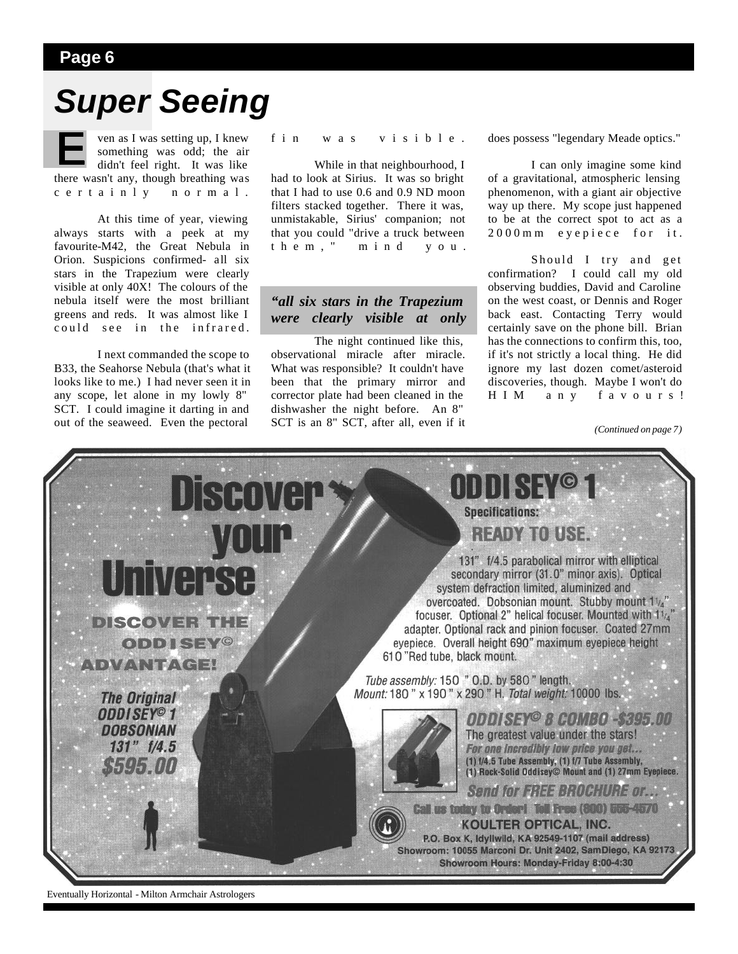### *Super Seeing*

ven as I was setting up, I knew something was odd; the air didn't feel right. It was like there wasn't any, though breathing was certainly normal.

 At this time of year, viewing always starts with a peek at my favourite-M42, the Great Nebula in Orion. Suspicions confirmed- all six stars in the Trapezium were clearly visible at only 40X! The colours of the nebula itself were the most brilliant greens and reds. It was almost like I could see in the infrared.

 I next commanded the scope to B33, the Seahorse Nebula (that's what it looks like to me.) I had never seen it in any scope, let alone in my lowly 8" SCT. I could imagine it darting in and out of the seaweed. Even the pectoral

#### fin was visible.

 While in that neighbourhood, I had to look at Sirius. It was so bright that I had to use 0.6 and 0.9 ND moon filters stacked together. There it was, unmistakable, Sirius' companion; not that you could "drive a truck between them," mind you.

#### *"all six stars in the Trapezium were clearly visible at only*

 The night continued like this, observational miracle after miracle. What was responsible? It couldn't have been that the primary mirror and corrector plate had been cleaned in the dishwasher the night before. An 8" SCT is an 8" SCT, after all, even if it does possess "legendary Meade optics."

 I can only imagine some kind of a gravitational, atmospheric lensing phenomenon, with a giant air objective way up there. My scope just happened to be at the correct spot to act as a 2000mm eyepiece for it.

 Should I try and get confirmation? I could call my old observing buddies, David and Caroline on the west coast, or Dennis and Roger back east. Contacting Terry would certainly save on the phone bill. Brian has the connections to confirm this, too, if it's not strictly a local thing. He did ignore my last dozen comet/asteroid discoveries, though. Maybe I won't do HIM any favours!

*(Continued on page 7)*



Eventually Horizontal - Milton Armchair Astrologers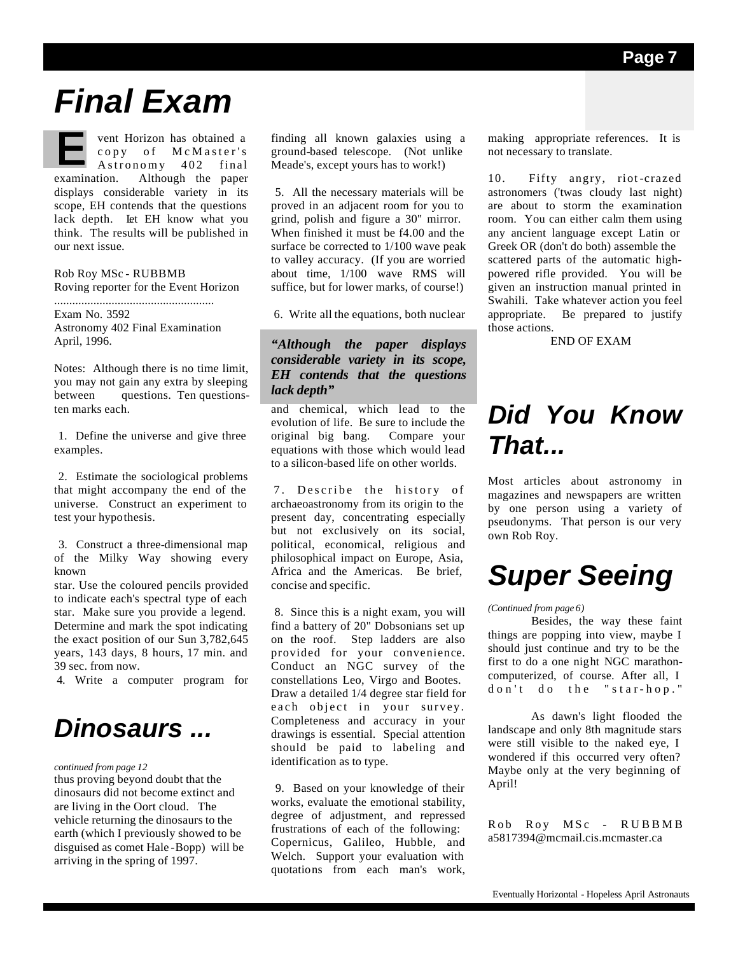### *Final Exam*

vent Horizon has obtained a copy of McMaster's Astronomy 402 final examination. Although the paper displays considerable variety in its scope, EH contends that the questions lack depth. Let EH know what you think. The results will be published in our next issue.

Rob Roy MSc - RUBBMB Roving reporter for the Event Horizon .....................................................

Exam No. 3592 Astronomy 402 Final Examination April, 1996.

Notes: Although there is no time limit, you may not gain any extra by sleeping between questions. Ten questionsten marks each.

 1. Define the universe and give three examples.

 2. Estimate the sociological problems that might accompany the end of the universe. Construct an experiment to test your hypothesis.

 3. Construct a three-dimensional map of the Milky Way showing every known

star. Use the coloured pencils provided to indicate each's spectral type of each star. Make sure you provide a legend. Determine and mark the spot indicating the exact position of our Sun 3,782,645 years, 143 days, 8 hours, 17 min. and 39 sec. from now.

4. Write a computer program for

### *Dinosaurs ...*

#### *continued from page 12*

thus proving beyond doubt that the dinosaurs did not become extinct and are living in the Oort cloud. The vehicle returning the dinosaurs to the earth (which I previously showed to be disguised as comet Hale -Bopp) will be arriving in the spring of 1997.

finding all known galaxies using a ground-based telescope. (Not unlike Meade's, except yours has to work!)

 5. All the necessary materials will be proved in an adjacent room for you to grind, polish and figure a 30" mirror. When finished it must be f4.00 and the surface be corrected to 1/100 wave peak to valley accuracy. (If you are worried about time, 1/100 wave RMS will suffice, but for lower marks, of course!)

6. Write all the equations, both nuclear

#### *"Although the paper displays considerable variety in its scope, EH contends that the questions lack depth"*

and chemical, which lead to the evolution of life. Be sure to include the original big bang. Compare your equations with those which would lead to a silicon-based life on other worlds.

 7. Describe the history of archaeoastronomy from its origin to the present day, concentrating especially but not exclusively on its social, political, economical, religious and philosophical impact on Europe, Asia, Africa and the Americas. Be brief, concise and specific.

 8. Since this is a night exam, you will find a battery of 20" Dobsonians set up on the roof. Step ladders are also provided for your convenience. Conduct an NGC survey of the constellations Leo, Virgo and Bootes. Draw a detailed 1/4 degree star field for each object in your survey. Completeness and accuracy in your drawings is essential. Special attention should be paid to labeling and identification as to type.

 9. Based on your knowledge of their works, evaluate the emotional stability, degree of adjustment, and repressed frustrations of each of the following: Copernicus, Galileo, Hubble, and Welch. Support your evaluation with quotations from each man's work,

making appropriate references. It is not necessary to translate.

10. Fifty angry, riot -crazed astronomers ('twas cloudy last night) are about to storm the examination room. You can either calm them using any ancient language except Latin or Greek OR (don't do both) assemble the scattered parts of the automatic highpowered rifle provided. You will be given an instruction manual printed in Swahili. Take whatever action you feel appropriate. Be prepared to justify those actions.

END OF EXAM

### *Did You Know That...*

Most articles about astronomy in magazines and newspapers are written by one person using a variety of pseudonyms. That person is our very own Rob Roy.

### *Super Seeing*

#### *(Continued from page 6)*

 Besides, the way these faint things are popping into view, maybe I should just continue and try to be the first to do a one night NGC marathoncomputerized, of course. After all, I don't do the "star-hop."

 As dawn's light flooded the landscape and only 8th magnitude stars were still visible to the naked eye, I wondered if this occurred very often? Maybe only at the very beginning of April!

Rob Roy MSc - RUBBMB a5817394@mcmail.cis.mcmaster.ca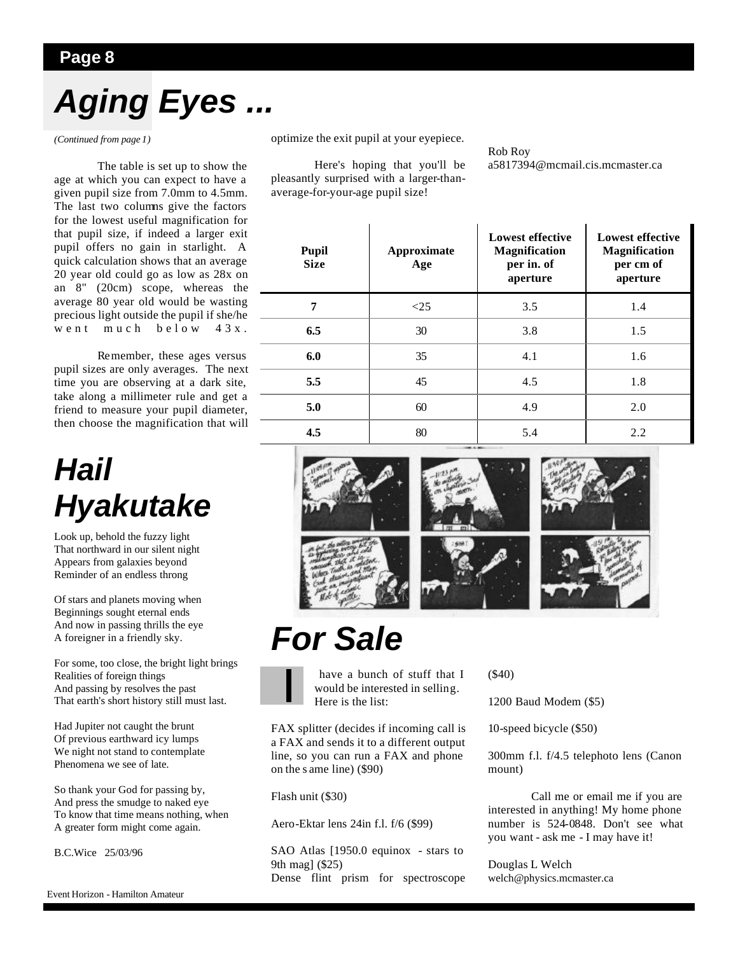# *Aging Eyes ...*

*(Continued from page 1)*

 The table is set up to show the age at which you can expect to have a given pupil size from 7.0mm to 4.5mm. The last two columns give the factors for the lowest useful magnification for that pupil size, if indeed a larger exit pupil offers no gain in starlight. A quick calculation shows that an average 20 year old could go as low as 28x on an 8" (20cm) scope, whereas the average 80 year old would be wasting precious light outside the pupil if she/he went much below 43x.

 Remember, these ages versus pupil sizes are only averages. The next time you are observing at a dark site, take along a millimeter rule and get a friend to measure your pupil diameter, then choose the magnification that will

### *Hail Hyakutake*

Look up, behold the fuzzy light That northward in our silent night Appears from galaxies beyond Reminder of an endless throng

Of stars and planets moving when Beginnings sought eternal ends And now in passing thrills the eye A foreigner in a friendly sky.

For some, too close, the bright light brings Realities of foreign things And passing by resolves the past That earth's short history still must last.

Had Jupiter not caught the brunt Of previous earthward icy lumps We night not stand to contemplate Phenomena we see of late.

So thank your God for passing by, And press the smudge to naked eye To know that time means nothing, when A greater form might come again.

B.C.Wice 25/03/96

Event Horizon - Hamilton Amateur

optimize the exit pupil at your eyepiece.

 Here's hoping that you'll be pleasantly surprised with a larger-thanaverage-for-your-age pupil size!

Rob Roy a5817394@mcmail.cis.mcmaster.ca

| <b>Pupil</b><br><b>Size</b> | Approximate<br>Age | <b>Lowest effective</b><br>Magnification<br>per in. of<br>aperture | <b>Lowest effective</b><br><b>Magnification</b><br>per cm of<br>aperture |
|-----------------------------|--------------------|--------------------------------------------------------------------|--------------------------------------------------------------------------|
| 7                           | $<$ 25             | 3.5                                                                | 1.4                                                                      |
| 6.5                         | 30                 | 3.8                                                                | 1.5                                                                      |
| 6.0                         | 35                 | 4.1                                                                | 1.6                                                                      |
| 5.5                         | 45                 | 4.5                                                                | 1.8                                                                      |
| 5.0                         | 60                 | 4.9                                                                | 2.0                                                                      |
| 4.5                         | 80                 | 5.4                                                                | 2.2                                                                      |



### *For Sale*



 have a bunch of stuff that I would be interested in selling. Here is the list:

FAX splitter (decides if incoming call is a FAX and sends it to a different output line, so you can run a FAX and phone on the s ame line) (\$90)

Flash unit (\$30)

Aero-Ektar lens 24in f.l. f/6 (\$99)

SAO Atlas [1950.0 equinox - stars to 9th mag] (\$25) Dense flint prism for spectroscope (\$40)

1200 Baud Modem (\$5)

10-speed bicycle (\$50)

300mm f.l. f/4.5 telephoto lens (Canon mount)

 Call me or email me if you are interested in anything! My home phone number is 524-0848. Don't see what you want - ask me - I may have it!

Douglas L Welch welch@physics.mcmaster.ca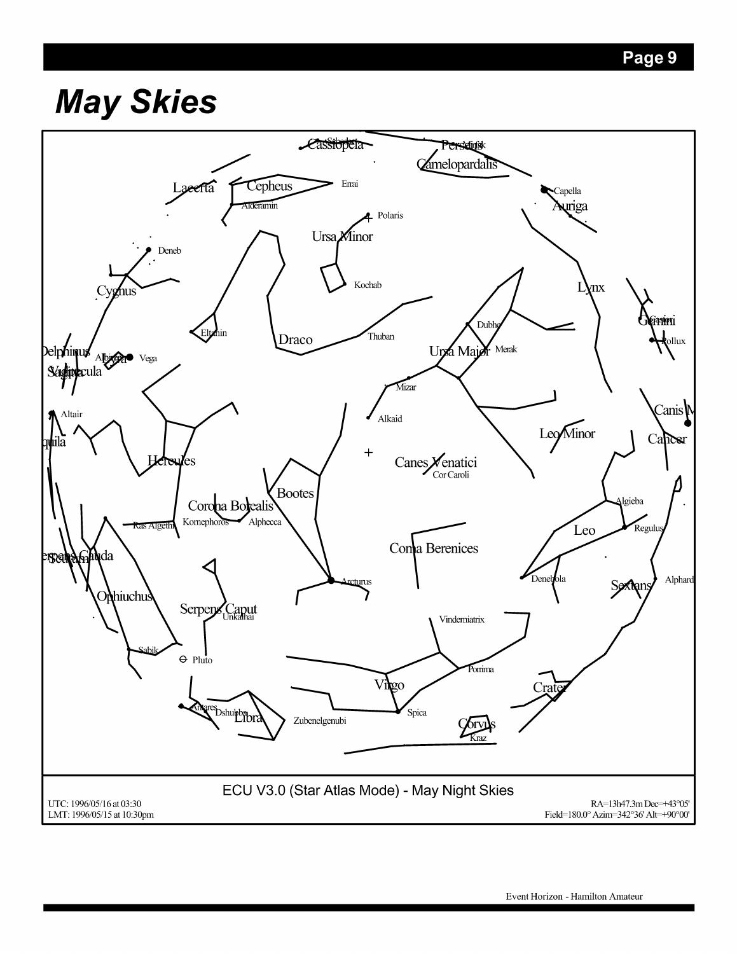# **May Skies**